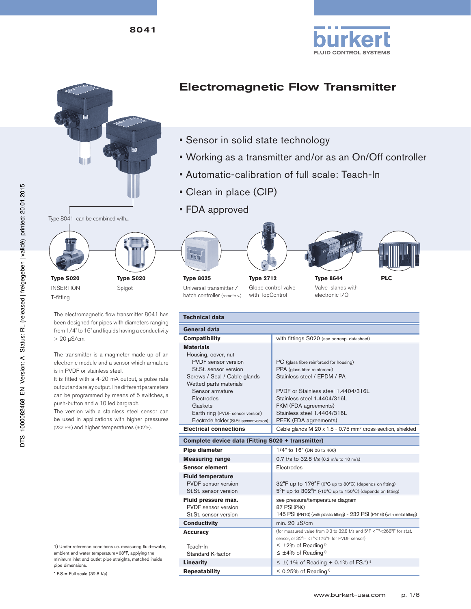8041





# Electromagnetic Flow Transmitter

- • Sensor in solid state technology
- • Working as a transmitter and/or as an On/Off controller
- • Automatic-calibration of full scale: Teach-In
- • Clean in place (CIP)
- • FDA approved



**Type S020** INSERTION **Type S020** Spigot

T-fitting

The electromagnetic flow transmitter 8041 has been designed for pipes with diameters ranging from 1/4" to 16" and liquids having a conductivity > 20 µS/cm.

The transmitter is a magmeter made up of an electronic module and a sensor which armature is in PVDF or stainless steel.

It is fitted with a 4-20 mA output, a pulse rate output and a relay output. The different parameters can be programmed by means of 5 switches, a push-button and a 10 led bargraph.

The version with a stainless steel sensor can be used in applications with higher pressures (232 PSI) and higher temperatures (302°F).

**Type 8025** Universal transmitter / batch controller (remote v.)

**Type 2712** Globe control valve with TopControl

**Repeatability**  $\leq 0.25\%$  of Reading<sup>1)</sup>

**Type 8644** electronic I/O

Valve islands with

**PLC**

| <b>Technical data</b>                             |                                                                                                |  |  |  |  |  |
|---------------------------------------------------|------------------------------------------------------------------------------------------------|--|--|--|--|--|
| General data                                      |                                                                                                |  |  |  |  |  |
| <b>Compatibility</b>                              | with fittings S020 (see corresp. datasheet)                                                    |  |  |  |  |  |
| <b>Materials</b>                                  |                                                                                                |  |  |  |  |  |
| Housing, cover, nut                               |                                                                                                |  |  |  |  |  |
| <b>PVDF</b> sensor version                        | PC (glass fibre reinforced for housing)                                                        |  |  |  |  |  |
| St.St. sensor version                             | PPA (glass fibre reinforced)                                                                   |  |  |  |  |  |
| Screws / Seal / Cable glands                      | Stainless steel / EPDM / PA                                                                    |  |  |  |  |  |
| Wetted parts materials                            |                                                                                                |  |  |  |  |  |
| Sensor armature                                   | PVDF or Stainless steel 1.4404/316L                                                            |  |  |  |  |  |
| Electrodes                                        | Stainless steel 1.4404/316L                                                                    |  |  |  |  |  |
| Gaskets                                           | FKM (FDA agreements)                                                                           |  |  |  |  |  |
| Earth ring (PVDF sensor version)                  | Stainless steel 1.4404/316L                                                                    |  |  |  |  |  |
| Electrode holder (St.St. sensor version)          | PEEK (FDA agreements)                                                                          |  |  |  |  |  |
| <b>Electrical connections</b>                     | Cable glands M 20 x 1.5 - 0.75 mm <sup>2</sup> cross-section, shielded                         |  |  |  |  |  |
| Complete device data (Fitting S020 + transmitter) |                                                                                                |  |  |  |  |  |
|                                                   |                                                                                                |  |  |  |  |  |
| Pipe diameter                                     | 1/4" to 16" (DN 06 to 400)                                                                     |  |  |  |  |  |
| <b>Measuring range</b>                            | 0.7 f/s to 32.8 f/s (0.2 m/s to 10 m/s)                                                        |  |  |  |  |  |
| <b>Sensor element</b>                             | <b>Flectrodes</b>                                                                              |  |  |  |  |  |
| <b>Fluid temperature</b>                          |                                                                                                |  |  |  |  |  |
| PVDF sensor version                               | 32°F up to 176°F (0°C up to 80°C) (depends on fitting)                                         |  |  |  |  |  |
| St.St. sensor version                             | 5°F up to 302°F (-15°C up to 150°C) (depends on fitting)                                       |  |  |  |  |  |
| Fluid pressure max.                               |                                                                                                |  |  |  |  |  |
| PVDF sensor version                               | see pressure/temperature diagram<br>87 PSI (PN6)                                               |  |  |  |  |  |
| St.St. sensor version                             | 145 PSI (PN10) (with plastic fitting) - 232 PSI (PN16) (with metal fitting)                    |  |  |  |  |  |
| <b>Conductivity</b>                               | min. $20 \mu S/cm$                                                                             |  |  |  |  |  |
| <b>Accuracy</b>                                   | (for measured value from 3.3 to 32.8 f/s and 5°F <t°<266°f for="" st.st.<="" td=""></t°<266°f> |  |  |  |  |  |
|                                                   | sensor, or 32°F <t°<176°f for="" pvdf="" sensor)<="" td=""></t°<176°f>                         |  |  |  |  |  |
| Teach-In                                          | $\leq \pm 2\%$ of Reading <sup>1)</sup>                                                        |  |  |  |  |  |
| Standard K-factor                                 | $\leq$ ±4% of Reading <sup>1)</sup>                                                            |  |  |  |  |  |

1) Under reference conditions i.e. measuring fluid=water, ambient and water temperature=68°F, applying the minimum inlet and outlet pipe straights, matched inside pipe dimensions.

 $*$  F.S.= Full scale (32.8 f/s)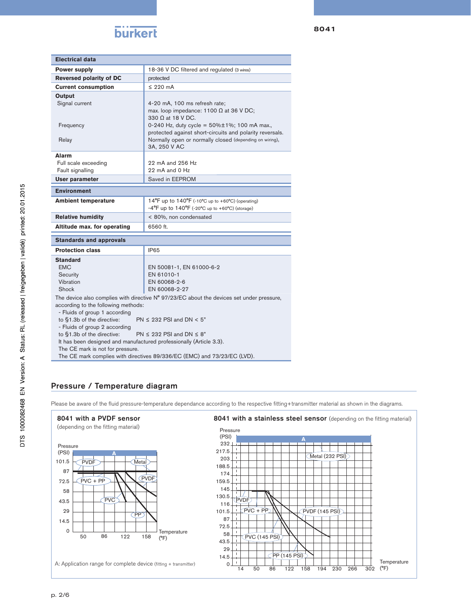| <b>Electrical data</b>                                                                                                                                                                                                                                                                                                                                                                                                                                                                                                           |                                                                                                                                                                                             |  |  |  |  |  |
|----------------------------------------------------------------------------------------------------------------------------------------------------------------------------------------------------------------------------------------------------------------------------------------------------------------------------------------------------------------------------------------------------------------------------------------------------------------------------------------------------------------------------------|---------------------------------------------------------------------------------------------------------------------------------------------------------------------------------------------|--|--|--|--|--|
| <b>Power supply</b>                                                                                                                                                                                                                                                                                                                                                                                                                                                                                                              | 18-36 V DC filtered and regulated (3 wires)                                                                                                                                                 |  |  |  |  |  |
| <b>Reversed polarity of DC</b>                                                                                                                                                                                                                                                                                                                                                                                                                                                                                                   | protected                                                                                                                                                                                   |  |  |  |  |  |
| <b>Current consumption</b>                                                                                                                                                                                                                                                                                                                                                                                                                                                                                                       | $\leq$ 220 mA                                                                                                                                                                               |  |  |  |  |  |
| Output<br>Signal current                                                                                                                                                                                                                                                                                                                                                                                                                                                                                                         | 4-20 mA, 100 ms refresh rate;<br>max. loop impedance: 1100 $\Omega$ at 36 V DC;<br>330 $\Omega$ at 18 V DC.                                                                                 |  |  |  |  |  |
| Frequency<br>Relay                                                                                                                                                                                                                                                                                                                                                                                                                                                                                                               | 0-240 Hz, duty cycle = $50\% \pm 1\%$ ; 100 mA max.,<br>protected against short-circuits and polarity reversals.<br>Normally open or normally closed (depending on wiring),<br>3A. 250 V AC |  |  |  |  |  |
| Alarm                                                                                                                                                                                                                                                                                                                                                                                                                                                                                                                            |                                                                                                                                                                                             |  |  |  |  |  |
| Full scale exceeding                                                                                                                                                                                                                                                                                                                                                                                                                                                                                                             | 22 mA and 256 Hz                                                                                                                                                                            |  |  |  |  |  |
| Fault signalling                                                                                                                                                                                                                                                                                                                                                                                                                                                                                                                 | 22 mA and 0 Hz                                                                                                                                                                              |  |  |  |  |  |
| <b>User parameter</b>                                                                                                                                                                                                                                                                                                                                                                                                                                                                                                            | Saved in EEPROM                                                                                                                                                                             |  |  |  |  |  |
| <b>Environment</b>                                                                                                                                                                                                                                                                                                                                                                                                                                                                                                               |                                                                                                                                                                                             |  |  |  |  |  |
| <b>Ambient temperature</b>                                                                                                                                                                                                                                                                                                                                                                                                                                                                                                       | 14°F up to $140^{\circ}$ F (-10°C up to +60°C) (operating)<br>$-4^{\circ}$ F up to $140^{\circ}$ F (-20 $^{\circ}$ C up to +60 $^{\circ}$ C) (storage)                                      |  |  |  |  |  |
| <b>Relative humidity</b>                                                                                                                                                                                                                                                                                                                                                                                                                                                                                                         | < 80%, non condensated                                                                                                                                                                      |  |  |  |  |  |
| Altitude max. for operating                                                                                                                                                                                                                                                                                                                                                                                                                                                                                                      | 6560 ft.                                                                                                                                                                                    |  |  |  |  |  |
| <b>Standards and approvals</b>                                                                                                                                                                                                                                                                                                                                                                                                                                                                                                   |                                                                                                                                                                                             |  |  |  |  |  |
| <b>Protection class</b>                                                                                                                                                                                                                                                                                                                                                                                                                                                                                                          | <b>IP65</b>                                                                                                                                                                                 |  |  |  |  |  |
| <b>Standard</b><br><b>EMC</b><br>Security<br>Vibration<br>Shock                                                                                                                                                                                                                                                                                                                                                                                                                                                                  | EN 50081-1, EN 61000-6-2<br>EN 61010-1<br>FN 60068-2-6<br>EN 60068-2-27                                                                                                                     |  |  |  |  |  |
| The device also complies with directive N° 97/23/EC about the devices set under pressure,<br>according to the following methods:<br>- Fluids of group 1 according<br>to §1.3b of the directive:<br>$PN \leq 232$ PSI and DN $< 5$ "<br>- Fluids of group 2 according<br>to §1.3b of the directive:<br>$PN \leq 232$ PSI and $DN \leq 8$ "<br>It has been designed and manufactured professionally (Article 3.3).<br>The CE mark is not for pressure.<br>The CE mark complies with directives 89/336/EC (EMC) and 73/23/EC (LVD). |                                                                                                                                                                                             |  |  |  |  |  |

### Pressure / Temperature diagram

Please be aware of the fluid pressure-temperature dependance according to the respective fitting+transmitter material as shown in the diagrams.

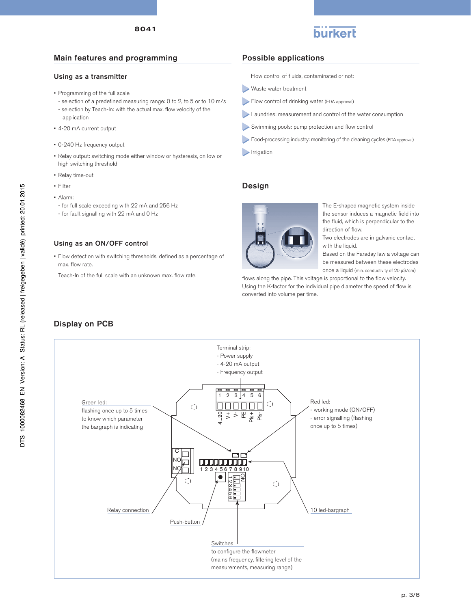

## Main features and programming

### Using as a transmitter

- Programming of the full scale
- selection of a predefined measuring range: 0 to 2, to 5 or to 10 m/s

8041

- selection by Teach-In: with the actual max. flow velocity of the application
- 4-20 mA current output
- 0-240 Hz frequency output
- Relay output: switching mode either window or hysteresis, on low or high switching threshold
- Relay time-out
- Filter
- Alarm:
- for full scale exceeding with 22 mA and 256 Hz
- for fault signalling with 22 mA and 0 Hz

### Using as an ON/OFF control

• Flow detection with switching thresholds, defined as a percentage of max. flow rate.

Teach-In of the full scale with an unknown max. flow rate.

### Possible applications

Flow control of fluids, contaminated or not:

- Waste water treatment
- Flow control of drinking water (FDA approval)
- Laundries: measurement and control of the water consumption
- Swimming pools: pump protection and flow control
- Food-processing industry: monitoring of the cleaning cycles (FDA approval)
- **Irrigation**

### Design



The E-shaped magnetic system inside the sensor induces a magnetic field into the fluid, which is perpendicular to the direction of flow.

Two electrodes are in galvanic contact with the liquid.

Based on the Faraday law a voltage can be measured between these electrodes once a liquid (min. conductivity of 20 µS/cm)

flows along the pipe. This voltage is proportional to the flow velocity. Using the K-factor for the individual pipe diameter the speed of flow is converted into volume per time.

### Display on PCB

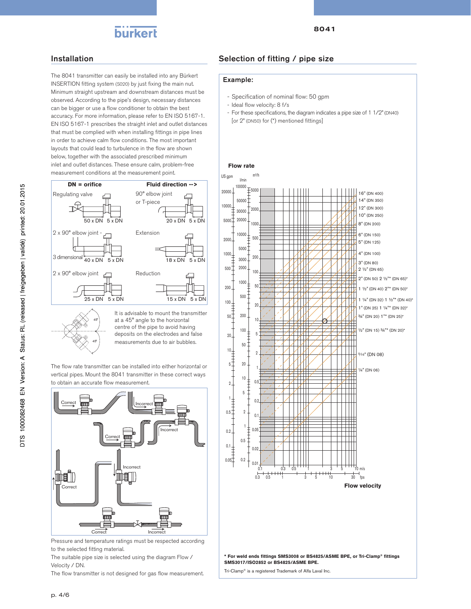# burkert

### Installation

The 8041 transmitter can easily be installed into any Bürkert INSERTION fitting system (S020) by just fixing the main nut. Minimum straight upstream and downstream distances must be observed. According to the pipe's design, necessary distances can be bigger or use a flow conditioner to obtain the best accuracy. For more information, please refer to EN ISO 5167-1. EN ISO 5167-1 prescribes the straight inlet and outlet distances that must be complied with when installing fittings in pipe lines in order to achieve calm flow conditions. The most important layouts that could lead to turbulence in the flow are shown below, together with the associated prescribed minimum inlet and outlet distances. These ensure calm, problem-free measurement conditions at the measurement point.





at a 45° angle to the horizontal centre of the pipe to avoid having deposits on the electrodes and false  $\left\{\begin{array}{c} 4^{36} \\ 8 \end{array}\right\}$  measurements due to air bubbles.

The flow rate transmitter can be installed into either horizontal or vertical pipes. Mount the 8041 transmitter in these correct ways verited pipes. Modifi the SO41 transmited by the obtain an accurate flow measurement.



Pressure and temperature ratings must be respected according to the selected fitting material.

The suitable pipe size is selected using the diagram Flow / Velocity / DN.

The flow transmitter is not designed for gas flow measurement.

## Selection of fitting / pipe size

### Example:

- Specification of nominal flow: 50 gpm
- Ideal flow velocity: 8 f/s
- For these specifications, the diagram indicates a pipe size of 1 1/2" (DN40) [or 2" (DN50) for (\*) mentioned fittings]





**\* For weld ends fittings SMS3008 or BS4825/ASME BPE, or Tri-Clamp® fittings SMS3017/ISO2852 or BS4825/ASME BPE.**

Tri-Clamp® is a registered Trademark of Alfa Laval Inc.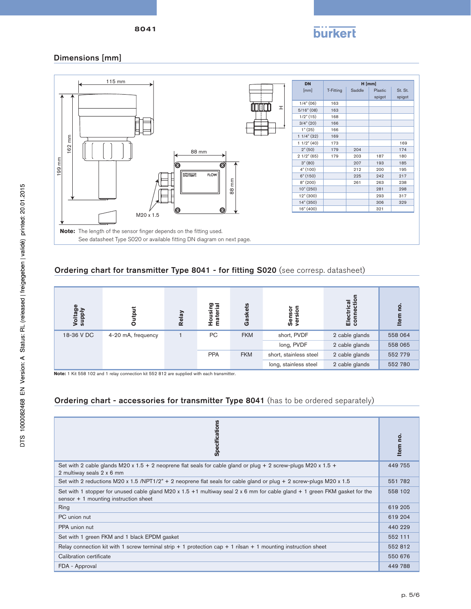

### Dimensions [mm]



# Ordering chart for transmitter Type 8041 - for fitting S020 (see corresp. datasheet)

| <b>Voltage</b><br>supply | ē<br>ā             | Relay                    | ത<br>š<br>Hous<br>mate | ets<br>Gasl            | ۰<br>Sensi<br>versi   | ā<br>Elec<br>conr | <u>o</u><br>Item |
|--------------------------|--------------------|--------------------------|------------------------|------------------------|-----------------------|-------------------|------------------|
| 18-36 V DC               | 4-20 mA, frequency |                          | PC                     | <b>FKM</b>             | short, PVDF           | 2 cable glands    | 558 064          |
|                          |                    |                          |                        |                        | long, PVDF            | 2 cable glands    | 558 065          |
|                          |                    | <b>PPA</b><br><b>FKM</b> |                        | short, stainless steel | 2 cable glands        | 552 779           |                  |
|                          |                    |                          |                        |                        | long, stainless steel | 2 cable glands    | 552 780          |

**Note:** 1 Kit 558 102 and 1 relay connection kit 552 812 are supplied with each transmitter.

# Ordering chart - accessories for transmitter Type 8041 (has to be ordered separately)

| <b>Specifications</b>                                                                                                                                               | Item no. |  |  |  |
|---------------------------------------------------------------------------------------------------------------------------------------------------------------------|----------|--|--|--|
| Set with 2 cable glands M20 x 1.5 + 2 neoprene flat seals for cable gland or plug + 2 screw-plugs M20 x 1.5 +<br>2 multiway seals 2 x 6 mm                          | 449 755  |  |  |  |
| Set with 2 reductions M20 x 1.5 /NPT1/2" + 2 neoprene flat seals for cable gland or plug + 2 screw-plugs M20 x 1.5                                                  |          |  |  |  |
| Set with 1 stopper for unused cable gland M20 x 1.5 +1 multiway seal 2 x 6 mm for cable gland + 1 green FKM gasket for the<br>sensor + 1 mounting instruction sheet |          |  |  |  |
| Ring                                                                                                                                                                | 619 205  |  |  |  |
| PC union nut                                                                                                                                                        | 619 204  |  |  |  |
| PPA union nut                                                                                                                                                       | 440 229  |  |  |  |
| Set with 1 green FKM and 1 black EPDM gasket                                                                                                                        |          |  |  |  |
| Relay connection kit with 1 screw terminal strip $+1$ protection cap $+1$ rilsan $+1$ mounting instruction sheet                                                    |          |  |  |  |
| Calibration certificate                                                                                                                                             | 550 676  |  |  |  |
| FDA - Approval                                                                                                                                                      | 449 788  |  |  |  |